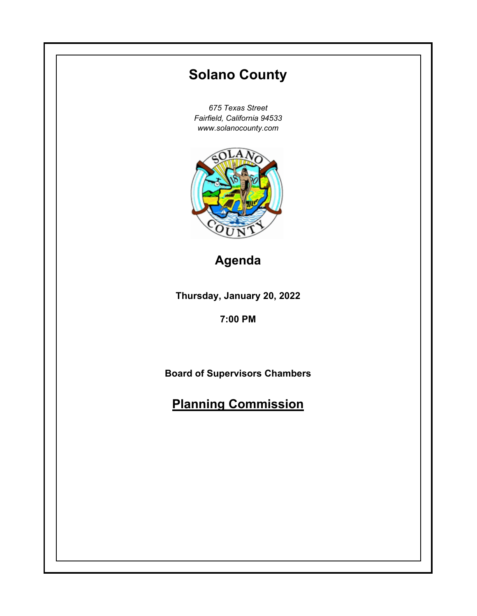# **Thursday, January 20, 2022 7:00 PM Solano County** *675 Texas Street Fairfield, California 94533 www.solanocounty.com* **Board of Supervisors Chambers Planning Commission Agenda**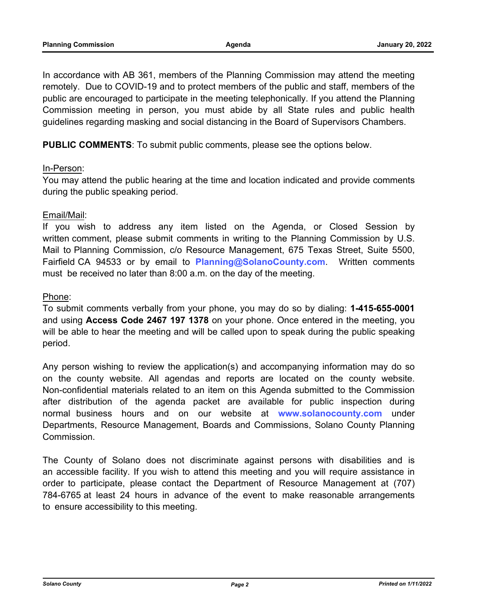In accordance with AB 361, members of the Planning Commission may attend the meeting remotely. Due to COVID-19 and to protect members of the public and staff, members of the public are encouraged to participate in the meeting telephonically. If you attend the Planning Commission meeting in person, you must abide by all State rules and public health guidelines regarding masking and social distancing in the Board of Supervisors Chambers.

**PUBLIC COMMENTS**: To submit public comments, please see the options below.

# In-Person:

You may attend the public hearing at the time and location indicated and provide comments during the public speaking period.

# Email/Mail:

If you wish to address any item listed on the Agenda, or Closed Session by written comment, please submit comments in writing to the Planning Commission by U.S. Mail to Planning Commission, c/o Resource Management, 675 Texas Street, Suite 5500, Fairfield CA 94533 or by email to **Planning@SolanoCounty.com**. Written comments must be received no later than 8:00 a.m. on the day of the meeting.

# Phone:

To submit comments verbally from your phone, you may do so by dialing: **1-415-655-0001** and using **Access Code 2467 197 1378** on your phone. Once entered in the meeting, you will be able to hear the meeting and will be called upon to speak during the public speaking period.

Any person wishing to review the application(s) and accompanying information may do so on the county website. All agendas and reports are located on the county website. Non-confidential materials related to an item on this Agenda submitted to the Commission after distribution of the agenda packet are available for public inspection during normal business hours and on our website at **www.solanocounty.com** under Departments, Resource Management, Boards and Commissions, Solano County Planning Commission.

The County of Solano does not discriminate against persons with disabilities and is an accessible facility. If you wish to attend this meeting and you will require assistance in order to participate, please contact the Department of Resource Management at (707) 784-6765 at least 24 hours in advance of the event to make reasonable arrangements to ensure accessibility to this meeting.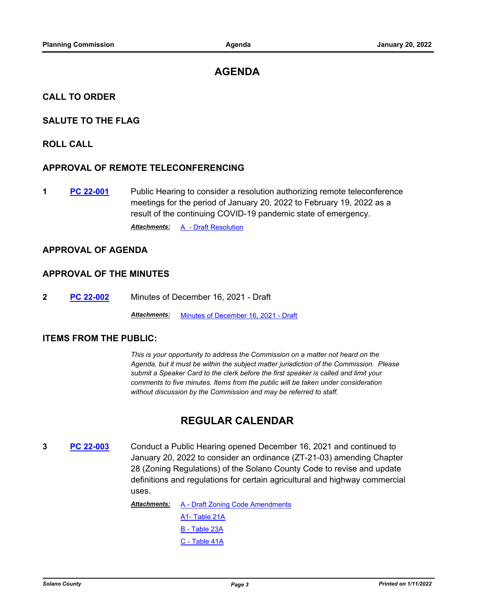# **AGENDA**

#### **CALL TO ORDER**

## **SALUTE TO THE FLAG**

#### **ROLL CALL**

#### **APPROVAL OF REMOTE TELECONFERENCING**

**1 [PC 22-001](http://solano.legistar.com/gateway.aspx?m=l&id=/matter.aspx?key=16597)** Public Hearing to consider a resolution authorizing remote teleconference meetings for the period of January 20, 2022 to February 19, 2022 as a result of the continuing COVID-19 pandemic state of emergency.

**Attachments:** [A - Draft Resolution](http://solano.legistar.com/gateway.aspx?M=F&ID=839ff707-a494-4ba9-9229-1964d341056f.pdf)

# **APPROVAL OF AGENDA**

# **APPROVAL OF THE MINUTES**

**2 [PC 22-002](http://solano.legistar.com/gateway.aspx?m=l&id=/matter.aspx?key=16598)** Minutes of December 16, 2021 - Draft

*Attachments:* [Minutes of December 16, 2021 - Draft](http://solano.legistar.com/gateway.aspx?M=F&ID=76f087eb-75e4-42fa-93e1-28720e002471.pdf)

#### **ITEMS FROM THE PUBLIC:**

*This is your opportunity to address the Commission on a matter not heard on the Agenda, but it must be within the subject matter jurisdiction of the Commission. Please submit a Speaker Card to the clerk before the first speaker is called and limit your comments to five minutes. Items from the public will be taken under consideration without discussion by the Commission and may be referred to staff.*

# **REGULAR CALENDAR**

**3 [PC 22-003](http://solano.legistar.com/gateway.aspx?m=l&id=/matter.aspx?key=16599)** Conduct a Public Hearing opened December 16, 2021 and continued to January 20, 2022 to consider an ordinance (ZT-21-03) amending Chapter 28 (Zoning Regulations) of the Solano County Code to revise and update definitions and regulations for certain agricultural and highway commercial uses.

> [A - Draft Zoning Code Amendments](http://solano.legistar.com/gateway.aspx?M=F&ID=08a41a18-3a2f-4e5e-85e6-5d90ec27298b.pdf) [A1- Table 21A](http://solano.legistar.com/gateway.aspx?M=F&ID=20575c49-996b-449f-b85d-b5e8f55ad00a.pdf) [B - Table 23A](http://solano.legistar.com/gateway.aspx?M=F&ID=03ffdacf-ac65-4657-8d95-1f6eef15e452.pdf) [C - Table 41A](https://solano.legistar.com/View.ashx?M=F&ID=10394884&GUID=0E99F020-E7C2-45F0-8FE6-225DA10A58AC) *Attachments:*